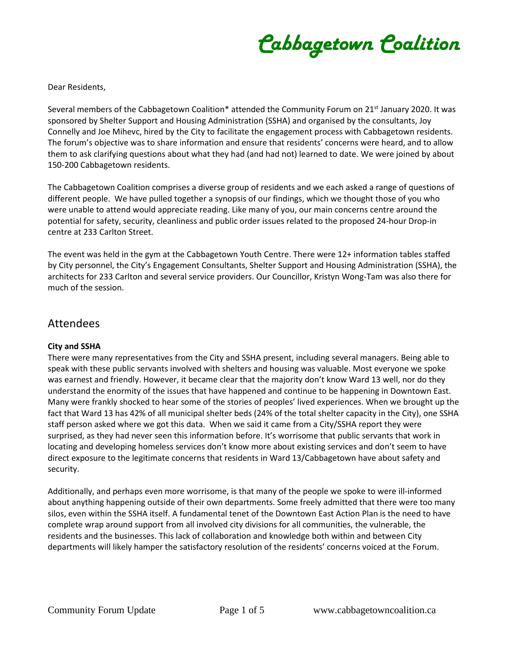*Cabbagetown Coalition*

Dear Residents,

Several members of the Cabbagetown Coalition\* attended the Community Forum on 21<sup>st</sup> January 2020. It was sponsored by Shelter Support and Housing Administration (SSHA) and organised by the consultants, Joy Connelly and Joe Mihevc, hired by the City to facilitate the engagement process with Cabbagetown residents. The forum's objective was to share information and ensure that residents' concerns were heard, and to allow them to ask clarifying questions about what they had (and had not) learned to date. We were joined by about 150-200 Cabbagetown residents.

The Cabbagetown Coalition comprises a diverse group of residents and we each asked a range of questions of different people. We have pulled together a synopsis of our findings, which we thought those of you who were unable to attend would appreciate reading. Like many of you, our main concerns centre around the potential for safety, security, cleanliness and public order issues related to the proposed 24-hour Drop-in centre at 233 Carlton Street.

The event was held in the gym at the Cabbagetown Youth Centre. There were 12+ information tables staffed by City personnel, the City's Engagement Consultants, Shelter Support and Housing Administration (SSHA), the architects for 233 Carlton and several service providers. Our Councillor, Kristyn Wong-Tam was also there for much of the session.

### Attendees

#### **City and SSHA**

There were many representatives from the City and SSHA present, including several managers. Being able to speak with these public servants involved with shelters and housing was valuable. Most everyone we spoke was earnest and friendly. However, it became clear that the majority don't know Ward 13 well, nor do they understand the enormity of the issues that have happened and continue to be happening in Downtown East. Many were frankly shocked to hear some of the stories of peoples' lived experiences. When we brought up the fact that Ward 13 has 42% of all municipal shelter beds (24% of the total shelter capacity in the City), one SSHA staff person asked where we got this data. When we said it came from a City/SSHA report they were surprised, as they had never seen this information before. It's worrisome that public servants that work in locating and developing homeless services don't know more about existing services and don't seem to have direct exposure to the legitimate concerns that residents in Ward 13/Cabbagetown have about safety and security.

Additionally, and perhaps even more worrisome, is that many of the people we spoke to were ill-informed about anything happening outside of their own departments. Some freely admitted that there were too many silos, even within the SSHA itself. A fundamental tenet of the Downtown East Action Plan is the need to have complete wrap around support from all involved city divisions for all communities, the vulnerable, the residents and the businesses. This lack of collaboration and knowledge both within and between City departments will likely hamper the satisfactory resolution of the residents' concerns voiced at the Forum.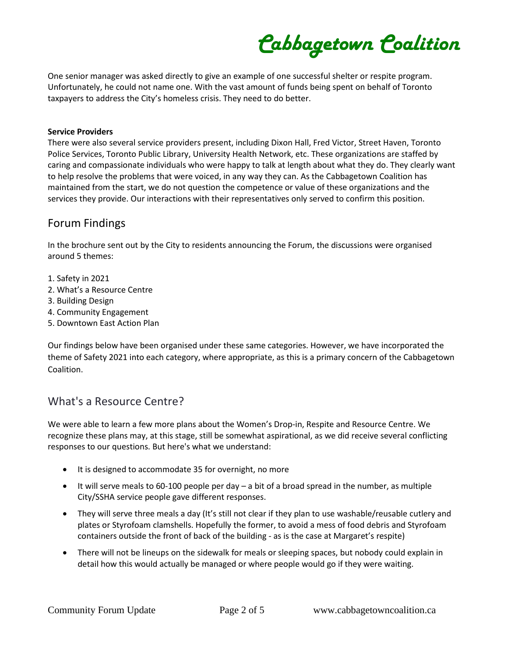*Cabbagetown Coalition*

One senior manager was asked directly to give an example of one successful shelter or respite program. Unfortunately, he could not name one. With the vast amount of funds being spent on behalf of Toronto taxpayers to address the City's homeless crisis. They need to do better.

#### **Service Providers**

There were also several service providers present, including Dixon Hall, Fred Victor, Street Haven, Toronto Police Services, Toronto Public Library, University Health Network, etc. These organizations are staffed by caring and compassionate individuals who were happy to talk at length about what they do. They clearly want to help resolve the problems that were voiced, in any way they can. As the Cabbagetown Coalition has maintained from the start, we do not question the competence or value of these organizations and the services they provide. Our interactions with their representatives only served to confirm this position.

## Forum Findings

In the brochure sent out by the City to residents announcing the Forum, the discussions were organised around 5 themes:

- 1. Safety in 2021
- 2. What's a Resource Centre
- 3. Building Design
- 4. Community Engagement
- 5. Downtown East Action Plan

Our findings below have been organised under these same categories. However, we have incorporated the theme of Safety 2021 into each category, where appropriate, as this is a primary concern of the Cabbagetown Coalition.

## What's a Resource Centre?

We were able to learn a few more plans about the Women's Drop-in, Respite and Resource Centre. We recognize these plans may, at this stage, still be somewhat aspirational, as we did receive several conflicting responses to our questions. But here's what we understand:

- It is designed to accommodate 35 for overnight, no more
- It will serve meals to 60-100 people per day a bit of a broad spread in the number, as multiple City/SSHA service people gave different responses.
- They will serve three meals a day (It's still not clear if they plan to use washable/reusable cutlery and plates or Styrofoam clamshells. Hopefully the former, to avoid a mess of food debris and Styrofoam containers outside the front of back of the building - as is the case at Margaret's respite)
- There will not be lineups on the sidewalk for meals or sleeping spaces, but nobody could explain in detail how this would actually be managed or where people would go if they were waiting.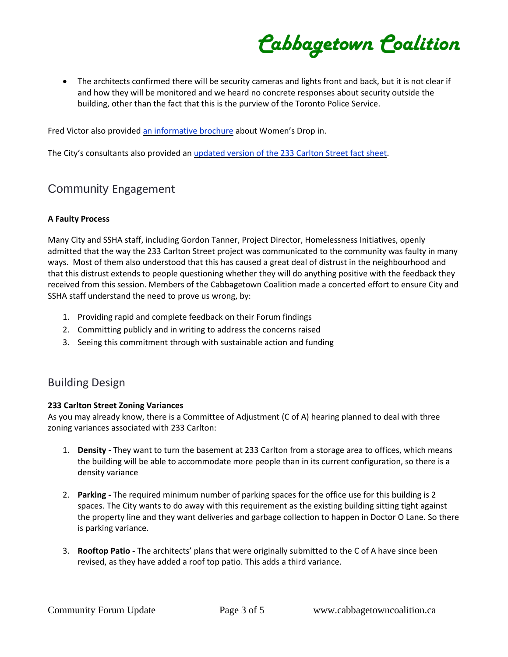*Cabbagetown Coalition*

• The architects confirmed there will be security cameras and lights front and back, but it is not clear if and how they will be monitored and we heard no concrete responses about security outside the building, other than the fact that this is the purview of the Toronto Police Service.

Fred Victor also provided an [informative](https://cabbagetowncoalition.ca/wp-content/uploads/2020/01/Fred_Victor_Brochure.pdf) brochure about Women's Drop in.

The City's consultants also provided an [updated](https://cabbagetowncoalition.ca/wp-content/uploads/2020/01/FAQ-233-Carlton_SSHA_Jan-21_2020.pdf) version of the 233 Carlton Street fact sheet.

# Community Engagement

#### **A Faulty Process**

Many City and SSHA staff, including Gordon Tanner, Project Director, Homelessness Initiatives, openly admitted that the way the 233 Carlton Street project was communicated to the community was faulty in many ways. Most of them also understood that this has caused a great deal of distrust in the neighbourhood and that this distrust extends to people questioning whether they will do anything positive with the feedback they received from this session. Members of the Cabbagetown Coalition made a concerted effort to ensure City and SSHA staff understand the need to prove us wrong, by:

- 1. Providing rapid and complete feedback on their Forum findings
- 2. Committing publicly and in writing to address the concerns raised
- 3. Seeing this commitment through with sustainable action and funding

## Building Design

#### **233 Carlton Street Zoning Variances**

As you may already know, there is a Committee of Adjustment (C of A) hearing planned to deal with three zoning variances associated with 233 Carlton:

- 1. **Density -** They want to turn the basement at 233 Carlton from a storage area to offices, which means the building will be able to accommodate more people than in its current configuration, so there is a density variance
- 2. **Parking -** The required minimum number of parking spaces for the office use for this building is 2 spaces. The City wants to do away with this requirement as the existing building sitting tight against the property line and they want deliveries and garbage collection to happen in Doctor O Lane. So there is parking variance.
- 3. **Rooftop Patio -** The architects' plans that were originally submitted to the C of A have since been revised, as they have added a roof top patio. This adds a third variance.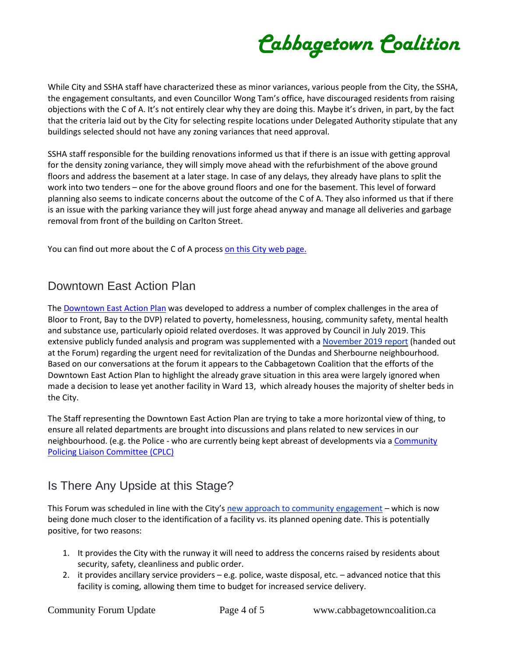*Cabbagetown Coalition*

While City and SSHA staff have characterized these as minor variances, various people from the City, the SSHA, the engagement consultants, and even Councillor Wong Tam's office, have discouraged residents from raising objections with the C of A. It's not entirely clear why they are doing this. Maybe it's driven, in part, by the fact that the criteria laid out by the City for selecting respite locations under Delegated Authority stipulate that any buildings selected should not have any zoning variances that need approval.

SSHA staff responsible for the building renovations informed us that if there is an issue with getting approval for the density zoning variance, they will simply move ahead with the refurbishment of the above ground floors and address the basement at a later stage. In case of any delays, they already have plans to split the work into two tenders – one for the above ground floors and one for the basement. This level of forward planning also seems to indicate concerns about the outcome of the C of A. They also informed us that if there is an issue with the parking variance they will just forge ahead anyway and manage all deliveries and garbage removal from front of the building on Carlton Street.

You can find out more about the C of A process on this City web [page.](https://www.toronto.ca/city-government/planning-development/committee-of-adjustment/)

# Downtown East Action Plan

The [Downtown](https://www.toronto.ca/city-government/accountability-operations-customer-service/long-term-vision-plans-and-strategies/downtown-east-action-plan/) East Action Plan was developed to address a number of complex challenges in the area of Bloor to Front, Bay to the DVP) related to poverty, homelessness, housing, community safety, mental health and substance use, particularly opioid related overdoses. It was approved by Council in July 2019. This extensive publicly funded analysis and program was supplemented with a [November](https://cabbagetowncoalition.ca/wp-content/uploads/2020/01/Dundas-Sherbourne-Revitalization-Plan.pdf) 2019 report (handed out at the Forum) regarding the urgent need for revitalization of the Dundas and Sherbourne neighbourhood. Based on our conversations at the forum it appears to the Cabbagetown Coalition that the efforts of the Downtown East Action Plan to highlight the already grave situation in this area were largely ignored when made a decision to lease yet another facility in Ward 13, which already houses the majority of shelter beds in the City.

The Staff representing the Downtown East Action Plan are trying to take a more horizontal view of thing, to ensure all related departments are brought into discussions and plans related to new services in our neighbourhood. (e.g. the Police - who are currently being kept abreast of developments via a [Community](https://www.facebook.com/CPLC51Div/) Policing Liaison [Committee](https://www.facebook.com/CPLC51Div/) (CPLC)

## Is There Any Upside at this Stage?

This Forum was scheduled in line with the City's new approach to community [engagement](https://cabbagetowncoalition.ca/wp-content/uploads/2020/01/CityofToronto_NewCommunityEngagementProcess.pdf) – which is now being done much closer to the identification of a facility vs. its planned opening date. This is potentially positive, for two reasons:

- 1. It provides the City with the runway it will need to address the concerns raised by residents about security, safety, cleanliness and public order.
- 2. it provides ancillary service providers e.g. police, waste disposal, etc. advanced notice that this facility is coming, allowing them time to budget for increased service delivery.